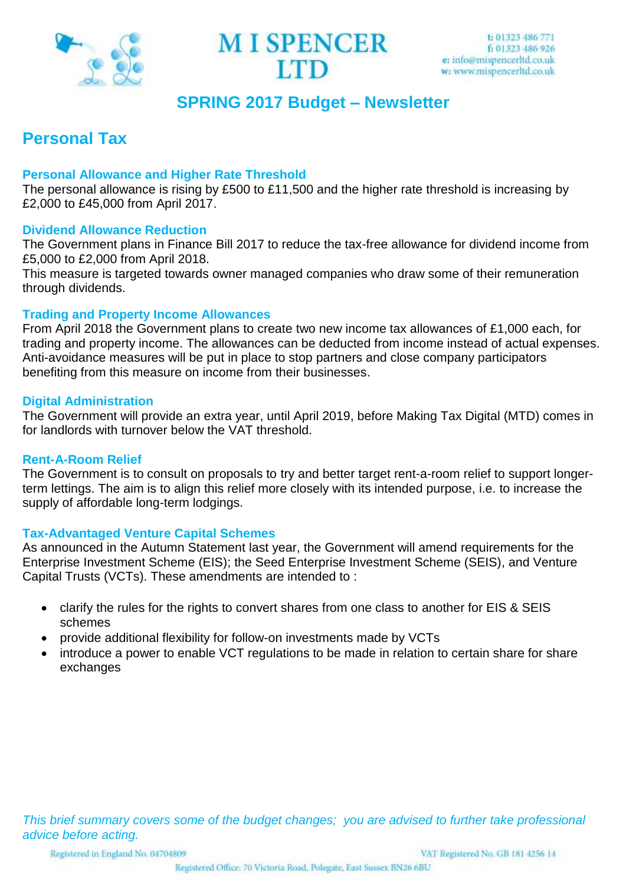



# **SPRING 2017 Budget – Newsletter**

# **Personal Tax**

#### **Personal Allowance and Higher Rate Threshold**

The personal allowance is rising by £500 to £11,500 and the higher rate threshold is increasing by £2,000 to £45,000 from April 2017.

#### **Dividend Allowance Reduction**

The Government plans in Finance Bill 2017 to reduce the tax-free allowance for dividend income from £5,000 to £2,000 from April 2018.

This measure is targeted towards owner managed companies who draw some of their remuneration through dividends.

#### **Trading and Property Income Allowances**

From April 2018 the Government plans to create two new income tax allowances of £1,000 each, for trading and property income. The allowances can be deducted from income instead of actual expenses. Anti-avoidance measures will be put in place to stop partners and close company participators benefiting from this measure on income from their businesses.

#### **Digital Administration**

The Government will provide an extra year, until April 2019, before Making Tax Digital (MTD) comes in for landlords with turnover below the VAT threshold.

#### **Rent-A-Room Relief**

The Government is to consult on proposals to try and better target rent-a-room relief to support longerterm lettings. The aim is to align this relief more closely with its intended purpose, i.e. to increase the supply of affordable long-term lodgings.

## **Tax-Advantaged Venture Capital Schemes**

As announced in the Autumn Statement last year, the Government will amend requirements for the Enterprise Investment Scheme (EIS); the Seed Enterprise Investment Scheme (SEIS), and Venture Capital Trusts (VCTs). These amendments are intended to :

- clarify the rules for the rights to convert shares from one class to another for EIS & SEIS schemes
- provide additional flexibility for follow-on investments made by VCTs
- introduce a power to enable VCT regulations to be made in relation to certain share for share exchanges

*This brief summary covers some of the budget changes; you are advised to further take professional advice before acting.* 

Registered in England No. 04704809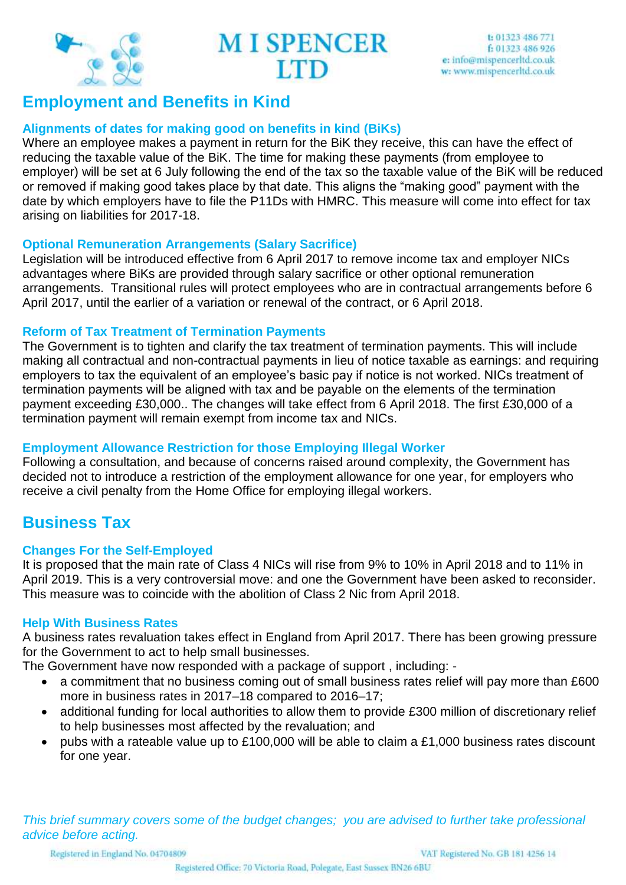

**MI SPENCER ITD** 

t: 01323 486 771 f: 01323 486 926 e: info@mispencerltd.co.uk w: www.mispencerltd.co.uk

# **Employment and Benefits in Kind**

## **Alignments of dates for making good on benefits in kind (BiKs)**

Where an employee makes a payment in return for the BiK they receive, this can have the effect of reducing the taxable value of the BiK. The time for making these payments (from employee to employer) will be set at 6 July following the end of the tax so the taxable value of the BiK will be reduced or removed if making good takes place by that date. This aligns the "making good" payment with the date by which employers have to file the P11Ds with HMRC. This measure will come into effect for tax arising on liabilities for 2017-18.

#### **Optional Remuneration Arrangements (Salary Sacrifice)**

Legislation will be introduced effective from 6 April 2017 to remove income tax and employer NICs advantages where BiKs are provided through salary sacrifice or other optional remuneration arrangements. Transitional rules will protect employees who are in contractual arrangements before 6 April 2017, until the earlier of a variation or renewal of the contract, or 6 April 2018.

## **Reform of Tax Treatment of Termination Payments**

The Government is to tighten and clarify the tax treatment of termination payments. This will include making all contractual and non-contractual payments in lieu of notice taxable as earnings: and requiring employers to tax the equivalent of an employee's basic pay if notice is not worked. NICs treatment of termination payments will be aligned with tax and be payable on the elements of the termination payment exceeding £30,000.. The changes will take effect from 6 April 2018. The first £30,000 of a termination payment will remain exempt from income tax and NICs.

## **Employment Allowance Restriction for those Employing Illegal Worker**

Following a consultation, and because of concerns raised around complexity, the Government has decided not to introduce a restriction of the employment allowance for one year, for employers who receive a civil penalty from the Home Office for employing illegal workers.

# **Business Tax**

## **Changes For the Self-Employed**

It is proposed that the main rate of Class 4 NICs will rise from 9% to 10% in April 2018 and to 11% in April 2019. This is a very controversial move: and one the Government have been asked to reconsider. This measure was to coincide with the abolition of Class 2 Nic from April 2018.

## **Help With Business Rates**

A business rates revaluation takes effect in England from April 2017. There has been growing pressure for the Government to act to help small businesses.

The Government have now responded with a package of support , including: -

- a commitment that no business coming out of small business rates relief will pay more than £600 more in business rates in 2017–18 compared to 2016–17;
- additional funding for local authorities to allow them to provide £300 million of discretionary relief to help businesses most affected by the revaluation; and
- pubs with a rateable value up to £100,000 will be able to claim a £1,000 business rates discount for one year.

*This brief summary covers some of the budget changes; you are advised to further take professional advice before acting.*